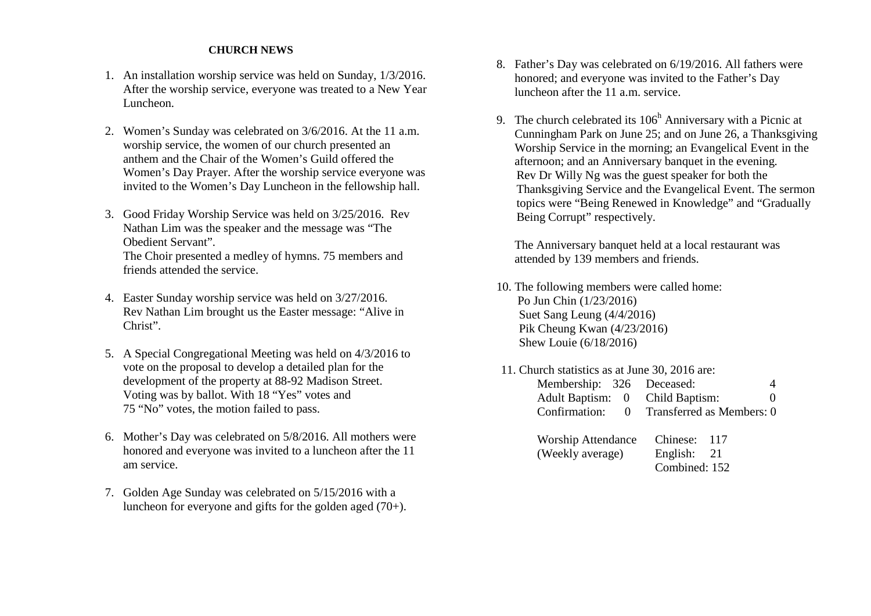## **CHURCH NEWS**

- 1. An installation worship service was held on Sunday, 1/3/2016. After the worship service, everyone was treated to a New Year Luncheon.
- 2. Women's Sunday was celebrated on 3/6/2016. At the 11 a.m. worship service, the women of our church presented an anthem and the Chair of the Women's Guild offered the Women's Day Prayer. After the worship service everyone was invited to the Women's Day Luncheon in the fellowship hall.
- 3. Good Friday Worship Service was held on 3/25/2016. Rev Nathan Lim was the speaker and the message was "TheObedient Servant". The Choir presented a medley of hymns. 75 members and

friends attended the service.

- 4. Easter Sunday worship service was held on 3/27/2016. Rev Nathan Lim brought us the Easter message: "Alive in Christ".
- 5. A Special Congregational Meeting was held on 4/3/2016 to vote on the proposal to develop a detailed plan for the development of the property at 88-92 Madison Street. Voting was by ballot. With 18 "Yes" votes and 75 "No" votes, the motion failed to pass.
- 6. Mother's Day was celebrated on 5/8/2016. All mothers were honored and everyone was invited to a luncheon after the 11 am service.
- 7. Golden Age Sunday was celebrated on 5/15/2016 with a luncheon for everyone and gifts for the golden aged (70+).
- 8. Father's Day was celebrated on 6/19/2016. All fathers were honored; and everyone was invited to the Father's Day luncheon after the 11 a.m. service.
- 9. The church celebrated its  $106<sup>h</sup>$  Anniversary with a Picnic at Cunningham Park on June 25; and on June 26, a Thanksgiving Worship Service in the morning; an Evangelical Event in the afternoon; and an Anniversary banquet in the evening. Rev Dr Willy Ng was the guest speaker for both the Thanksgiving Service and the Evangelical Event. The sermon topics were "Being Renewed in Knowledge" and "Gradually Being Corrupt" respectively.

The Anniversary banquet held at a local restaurant was attended by 139 members and friends.

- 10. The following members were called home: Po Jun Chin (1/23/2016) Suet Sang Leung (4/4/2016) Pik Cheung Kwan (4/23/2016) Shew Louie (6/18/2016)
- 11. Church statistics as at June 30, 2016 are: Membership: 326 Deceased: 4  $\Omega$  Adult Baptism: 0 Child Baptism: 0 Confirmation: 0 Transferred as Members: 0
	- Worship Attendance Chinese: 117 (Weekly average) English: 21 Combined: 152